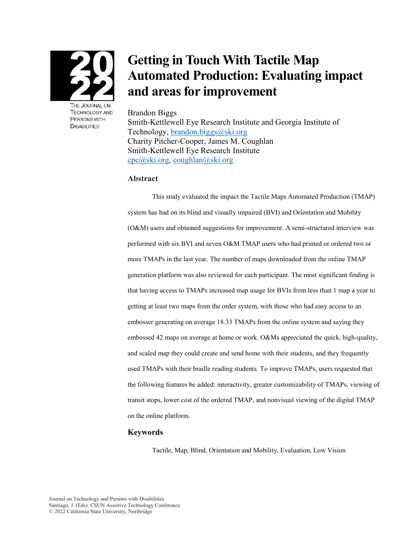

THE JOURNAL ON **TECHNOLOGY AND** PERSONS WITH **DISABILITIES** 

# **Getting in Touch With Tactile Map Automated Production: Evaluating impact and areas for improvement**

#### Brandon Biggs

Smith-Kettlewell Eye Research Institute and Georgia Institute of Technology, brandon.biggs@ski.org Charity Pitcher-Cooper, James M. Coughlan Smith-Kettlewell Eye Research Institute [cpc@ski.org,](mailto:cpc@ski.org) [coughlan@ski.org](mailto:coughlan@ski.org) 

#### **Abstract**

This study evaluated the impact the Tactile Maps Automated Production (TMAP) system has had on its blind and visually impaired (BVI) and Orientation and Mobility (O&M) users and obtained suggestions for improvement. A semi-structured interview was performed with six BVI and seven O&M TMAP users who had printed or ordered two or more TMAPs in the last year. The number of maps downloaded from the online TMAP generation platform was also reviewed for each participant. The most significant finding is that having access to TMAPs increased map usage for BVIs from less than 1 map a year to getting at least two maps from the order system, with those who had easy access to an embosser generating on average 18.33 TMAPs from the online system and saying they embossed 42 maps on average at home or work. O&Ms appreciated the quick, high-quality, and scaled map they could create and send home with their students, and they frequently used TMAPs with their braille reading students. To improve TMAPs, users requested that the following features be added: interactivity, greater customizability of TMAPs, viewing of transit stops, lower cost of the ordered TMAP, and nonvisual viewing of the digital TMAP on the online platform.

### **Keywords**

Tactile, Map, Blind, Orientation and Mobility, Evaluation, Low Vision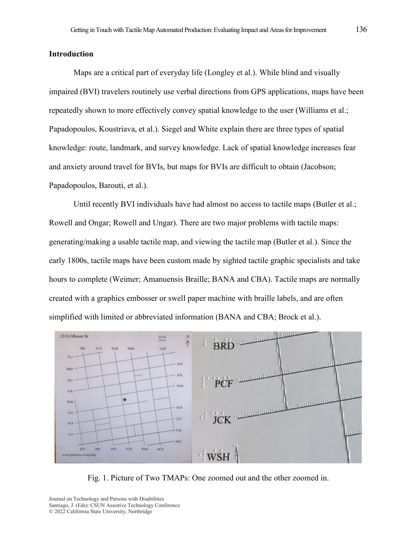### **Introduction**

Maps are a critical part of everyday life (Longley et al.). While blind and visually impaired (BVI) travelers routinely use verbal directions from GPS applications, maps have been repeatedly shown to more effectively convey spatial knowledge to the user (Williams et al.; Papadopoulos, Koustriava, et al.). Siegel and White explain there are three types of spatial knowledge: route, landmark, and survey knowledge. Lack of spatial knowledge increases fear and anxiety around travel for BVIs, but maps for BVIs are difficult to obtain (Jacobson; Papadopoulos, Barouti, et al.).

Until recently BVI individuals have had almost no access to tactile maps (Butler et al.; Rowell and Ongar; Rowell and Ungar). There are two major problems with tactile maps: generating/making a usable tactile map, and viewing the tactile map (Butler et al.). Since the early 1800s, tactile maps have been custom made by sighted tactile graphic specialists and take hours to complete (Weimer; Amanuensis Braille; BANA and CBA). Tactile maps are normally created with a graphics embosser or swell paper machine with braille labels, and are often simplified with limited or abbreviated information (BANA and CBA; Brock et al.).



Fig. 1. Picture of Two TMAPs: One zoomed out and the other zoomed in.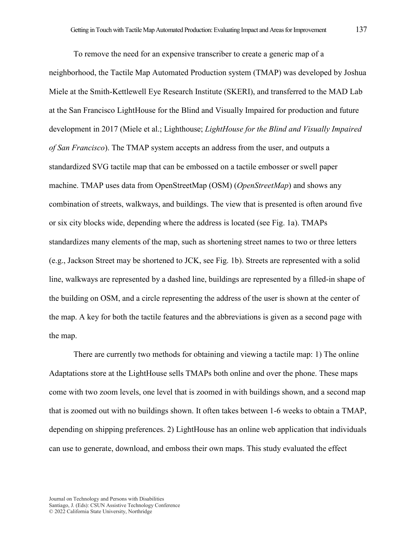To remove the need for an expensive transcriber to create a generic map of a neighborhood, the Tactile Map Automated Production system (TMAP) was developed by Joshua Miele at the Smith-Kettlewell Eye Research Institute (SKERI), and transferred to the MAD Lab at the San Francisco LightHouse for the Blind and Visually Impaired for production and future development in 2017 (Miele et al.; Lighthouse; *LightHouse for the Blind and Visually Impaired of San Francisco*). The TMAP system accepts an address from the user, and outputs a standardized SVG tactile map that can be embossed on a tactile embosser or swell paper machine. TMAP uses data from OpenStreetMap (OSM) (*OpenStreetMap*) and shows any combination of streets, walkways, and buildings. The view that is presented is often around five or six city blocks wide, depending where the address is located (see Fig. 1a). TMAPs standardizes many elements of the map, such as shortening street names to two or three letters (e.g., Jackson Street may be shortened to JCK, see Fig. 1b). Streets are represented with a solid line, walkways are represented by a dashed line, buildings are represented by a filled-in shape of the building on OSM, and a circle representing the address of the user is shown at the center of the map. A key for both the tactile features and the abbreviations is given as a second page with the map.

There are currently two methods for obtaining and viewing a tactile map: 1) The online Adaptations store at the LightHouse sells TMAPs both online and over the phone. These maps come with two zoom levels, one level that is zoomed in with buildings shown, and a second map that is zoomed out with no buildings shown. It often takes between 1-6 weeks to obtain a TMAP, depending on shipping preferences. 2) LightHouse has an online web application that individuals can use to generate, download, and emboss their own maps. This study evaluated the effect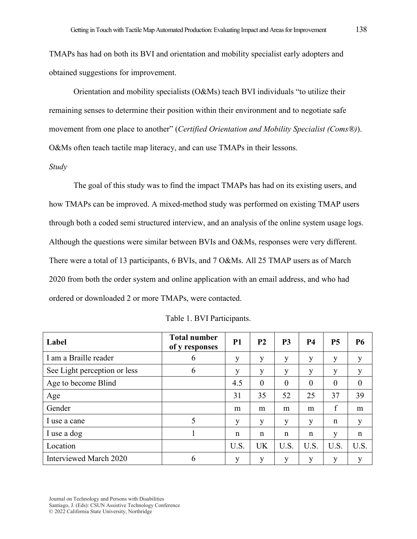TMAPs has had on both its BVI and orientation and mobility specialist early adopters and obtained suggestions for improvement.

Orientation and mobility specialists (O&Ms) teach BVI individuals "to utilize their remaining senses to determine their position within their environment and to negotiate safe movement from one place to another" (*Certified Orientation and Mobility Specialist (Coms®)*). O&Ms often teach tactile map literacy, and can use TMAPs in their lessons.

#### *Study*

The goal of this study was to find the impact TMAPs has had on its existing users, and how TMAPs can be improved. A mixed-method study was performed on existing TMAP users through both a coded semi structured interview, and an analysis of the online system usage logs. Although the questions were similar between BVIs and O&Ms, responses were very different. There were a total of 13 participants, 6 BVIs, and 7 O&Ms. All 25 TMAP users as of March 2020 from both the order system and online application with an email address, and who had ordered or downloaded 2 or more TMAPs, were contacted.

| Label                        | <b>Total number</b><br>of y responses | <b>P1</b> | P <sub>2</sub> | P <sub>3</sub> | <b>P4</b> | <b>P5</b> | <b>P6</b> |
|------------------------------|---------------------------------------|-----------|----------------|----------------|-----------|-----------|-----------|
| I am a Braille reader        | 6                                     | y         | y              | y              | y         | y         | у         |
| See Light perception or less | 6                                     | y         | y              | y              | у         | у         | у         |
| Age to become Blind          |                                       | 4.5       | $\theta$       | $\theta$       | $\theta$  | $\theta$  | $\theta$  |
| Age                          |                                       | 31        | 35             | 52             | 25        | 37        | 39        |
| Gender                       |                                       | m         | m              | m              | m         | f         | m         |
| I use a cane                 | 5                                     | y         | y              | y              | y         | n         | y         |
| I use a dog                  |                                       | n         | n              | n              | n         | у         | n         |
| Location                     |                                       | U.S.      | <b>UK</b>      | U.S.           | U.S.      | U.S.      | U.S.      |
| Interviewed March 2020       | 6                                     | y         | y              | y              | у         | y         | y         |

|  |  | Table 1. BVI Participants. |
|--|--|----------------------------|
|--|--|----------------------------|

Journal on Technology and Persons with Disabilities

Santiago, J. (Eds): CSUN Assistive Technology Conference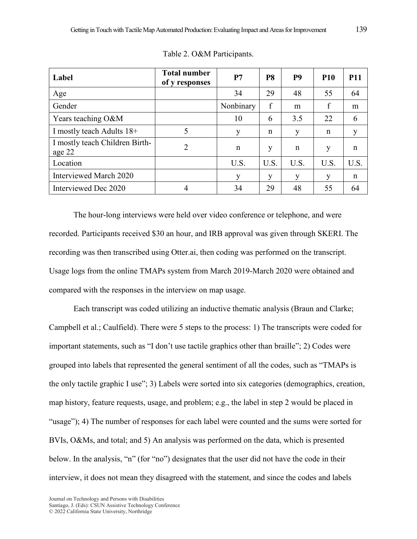| Label                                    | <b>Total number</b><br>of y responses | P7        | P <sub>8</sub> | P <sub>9</sub> | <b>P10</b>  | <b>P11</b> |
|------------------------------------------|---------------------------------------|-----------|----------------|----------------|-------------|------------|
| Age                                      |                                       | 34        | 29             | 48             | 55          | 64         |
| Gender                                   |                                       | Nonbinary | f              | m              | $\mathbf f$ | m          |
| Years teaching O&M                       |                                       | 10        | 6              | 3.5            | 22          | 6          |
| I mostly teach Adults 18+                | 5                                     | y         | $\mathbf n$    | y              | n           | y          |
| I mostly teach Children Birth-<br>age 22 | 2                                     | n         | y              | $\mathbf n$    | y           | n          |
| Location                                 |                                       | U.S.      | U.S.           | U.S.           | U.S.        | U.S.       |
| Interviewed March 2020                   |                                       | y         | y              | y              | y           | n          |
| Interviewed Dec 2020                     | 4                                     | 34        | 29             | 48             | 55          | 64         |

Table 2. O&M Participants.

The hour-long interviews were held over video conference or telephone, and were recorded. Participants received \$30 an hour, and IRB approval was given through SKERI. The recording was then transcribed using Otter.ai, then coding was performed on the transcript. Usage logs from the online TMAPs system from March 2019-March 2020 were obtained and compared with the responses in the interview on map usage.

Each transcript was coded utilizing an inductive thematic analysis (Braun and Clarke; Campbell et al.; Caulfield). There were 5 steps to the process: 1) The transcripts were coded for important statements, such as "I don't use tactile graphics other than braille"; 2) Codes were grouped into labels that represented the general sentiment of all the codes, such as "TMAPs is the only tactile graphic I use"; 3) Labels were sorted into six categories (demographics, creation, map history, feature requests, usage, and problem; e.g., the label in step 2 would be placed in "usage"); 4) The number of responses for each label were counted and the sums were sorted for BVIs, O&Ms, and total; and 5) An analysis was performed on the data, which is presented below. In the analysis, "n" (for "no") designates that the user did not have the code in their interview, it does not mean they disagreed with the statement, and since the codes and labels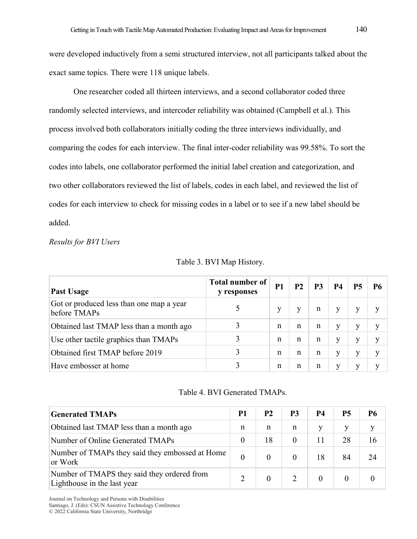were developed inductively from a semi structured interview, not all participants talked about the exact same topics. There were 118 unique labels.

One researcher coded all thirteen interviews, and a second collaborator coded three randomly selected interviews, and intercoder reliability was obtained (Campbell et al.). This process involved both collaborators initially coding the three interviews individually, and comparing the codes for each interview. The final inter-coder reliability was 99.58%. To sort the codes into labels, one collaborator performed the initial label creation and categorization, and two other collaborators reviewed the list of labels, codes in each label, and reviewed the list of codes for each interview to check for missing codes in a label or to see if a new label should be added.

### *Results for BVI Users*

| Past Usage                                               | <b>Total number of</b><br>y responses | <b>P1</b> | <b>P2</b> | P3 | <b>P4</b> | <b>P5</b> | <b>P6</b> |
|----------------------------------------------------------|---------------------------------------|-----------|-----------|----|-----------|-----------|-----------|
| Got or produced less than one map a year<br>before TMAPs |                                       |           |           | n  | y         |           |           |
| Obtained last TMAP less than a month ago                 |                                       | n         | n         | n  | v         | у         | V         |
| Use other tactile graphics than TMAPs                    | 3                                     | n         | n         | n  | v         | у         |           |
| Obtained first TMAP before 2019                          | 3                                     | n         | n         | n  | у         | у         |           |
| Have embosser at home                                    |                                       | n         | n         | n  | V         |           |           |

Table 3. BVI Map History.

### Table 4. BVI Generated TMAPs.

| <b>Generated TMAPs</b>                                                     | P1       | P <sub>2</sub> | P3       | <b>P4</b> | <b>P5</b> | Р6 |
|----------------------------------------------------------------------------|----------|----------------|----------|-----------|-----------|----|
| Obtained last TMAP less than a month ago                                   | n        | n              | n        |           | V         |    |
| Number of Online Generated TMAPs                                           |          | 18             | $\theta$ | 11        | 28        | 16 |
| Number of TMAPs they said they embossed at Home<br>or Work                 | $\theta$ |                |          | 18        | 84        | 24 |
| Number of TMAPS they said they ordered from<br>Lighthouse in the last year |          |                |          | $\Omega$  | $\theta$  |    |

Journal on Technology and Persons with Disabilities

Santiago, J. (Eds): CSUN Assistive Technology Conference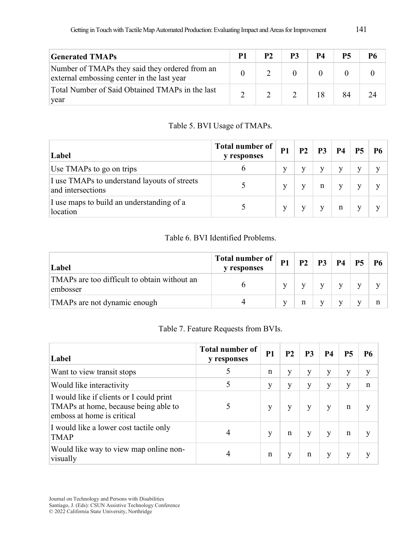| <b>Generated TMAPs</b>                                                                       | P1 | <b>P2</b> | P3 | <b>P4</b> | <b>P5</b> |  |
|----------------------------------------------------------------------------------------------|----|-----------|----|-----------|-----------|--|
| Number of TMAPs they said they ordered from an<br>external embossing center in the last year |    |           |    |           |           |  |
| Total Number of Said Obtained TMAPs in the last<br>year                                      |    |           |    |           |           |  |

Table 5. BVI Usage of TMAPs.

| Label                                                             | Total number of<br>y responses | <b>P1</b> | P <sub>2</sub> | <b>P3</b>   | <b>P4</b> | <b>P5</b> | <b>P6</b> |
|-------------------------------------------------------------------|--------------------------------|-----------|----------------|-------------|-----------|-----------|-----------|
| Use TMAPs to go on trips                                          |                                | v         | V              |             | y         |           |           |
| I use TMAPs to understand layouts of streets<br>and intersections |                                | v         |                | $\mathbf n$ | V         |           |           |
| I use maps to build an understanding of a<br>location             |                                | v         |                |             | n         |           |           |

# Table 6. BVI Identified Problems.

| Label                                                    | Total number of<br><b>v</b> responses | <b>P1</b> | P <sub>2</sub> | P <sub>3</sub> | <b>P4</b> | <b>P5</b> | P6 |
|----------------------------------------------------------|---------------------------------------|-----------|----------------|----------------|-----------|-----------|----|
| TMAPs are too difficult to obtain without an<br>embosser |                                       |           |                |                |           |           |    |
| TMAPs are not dynamic enough                             |                                       |           | n              | v              |           | V         | n  |

# Table 7. Feature Requests from BVIs.

| Label                                                                                                          | <b>Total number of</b><br>y responses | <b>P1</b>   | <b>P2</b> | P <sub>3</sub> | <b>P4</b> | <b>P5</b> | P6 |
|----------------------------------------------------------------------------------------------------------------|---------------------------------------|-------------|-----------|----------------|-----------|-----------|----|
| Want to view transit stops                                                                                     | 5                                     | n           | y         | V              | у         | у         | у  |
| Would like interactivity                                                                                       |                                       | y           | y         | v              | у         | y         | n  |
| I would like if clients or I could print<br>TMAPs at home, because being able to<br>emboss at home is critical |                                       | у           | у         | V              | у         | n         | v  |
| I would like a lower cost tactile only<br><b>TMAP</b>                                                          | 4                                     | y           | n         | v              | y         | n         | v  |
| Would like way to view map online non-<br>visually                                                             | 4                                     | $\mathbf n$ | y         | n              | y         | y         | v  |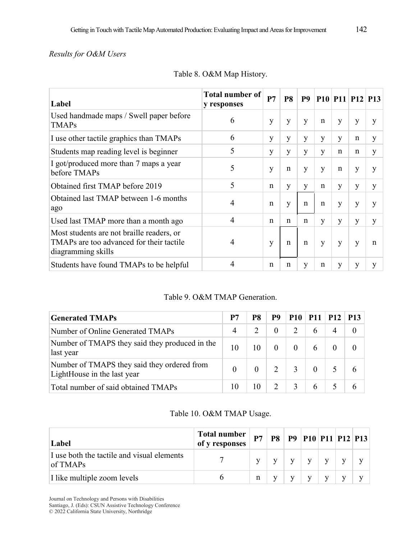# *Results for O&M Users*

| Label                                                                                                       | Total number of<br>y responses | P7 | <b>P8</b>    | <b>P9</b> |   |   | $P10$ $P11$ $P12$ $P13$ |   |
|-------------------------------------------------------------------------------------------------------------|--------------------------------|----|--------------|-----------|---|---|-------------------------|---|
| Used handmade maps / Swell paper before<br><b>TMAPs</b>                                                     | 6                              | y  | y            | y         | n | y | y                       | y |
| I use other tactile graphics than TMAPs                                                                     | 6                              | y  | y            | y         | y | y | n                       | y |
| Students map reading level is beginner                                                                      | 5                              | y  | y            | y         | y | n | $\mathbf n$             | y |
| I got/produced more than 7 maps a year<br>before TMAPs                                                      | 5                              | y  | $\mathbf n$  | y         | y | n | y                       | y |
| Obtained first TMAP before 2019                                                                             | 5                              | n  | y            | y         | n | y | y                       | y |
| Obtained last TMAP between 1-6 months<br>ago                                                                | 4                              | n  | y            | n         | n | y | y                       | y |
| Used last TMAP more than a month ago                                                                        | 4                              | n  | $\mathsf{n}$ | n         | y | y | y                       | y |
| Most students are not braille readers, or<br>TMAPs are too advanced for their tactile<br>diagramming skills | 4                              | y  | n            | n         | y | y | y                       | n |
| Students have found TMAPs to be helpful                                                                     |                                | n  | n            | y         | n | y | y                       | y |

Table 8. O&M Map History.

# Table 9. O&M TMAP Generation.

| <b>Generated TMAPs</b>                                                     | P7             | P <sub>8</sub> | P9       | <b>P10</b> | <b>P11</b> | P12 | <b>P13</b> |
|----------------------------------------------------------------------------|----------------|----------------|----------|------------|------------|-----|------------|
| Number of Online Generated TMAPs                                           | $\overline{4}$ |                | $\theta$ |            |            | 4   |            |
| Number of TMAPS they said they produced in the<br>last year                | 10             | 10             | $\theta$ | $\theta$   |            |     |            |
| Number of TMAPS they said they ordered from<br>LightHouse in the last year | $\Omega$       |                |          | 3          |            |     |            |
| Total number of said obtained TMAPs                                        | 10             | 10             |          | 3          | 6          |     |            |

# Table 10. O&M TMAP Usage.

| Label                                                      | Total number<br>of y responses | P7 | <b>P8</b> | <b>P9 P10 P11 P12 P13</b> |  |  |
|------------------------------------------------------------|--------------------------------|----|-----------|---------------------------|--|--|
| I use both the tactile and visual elements<br>$\log$ TMAPs |                                |    |           | v                         |  |  |
| I like multiple zoom levels                                | h                              | n  |           | v                         |  |  |

Journal on Technology and Persons with Disabilities

Santiago, J. (Eds): CSUN Assistive Technology Conference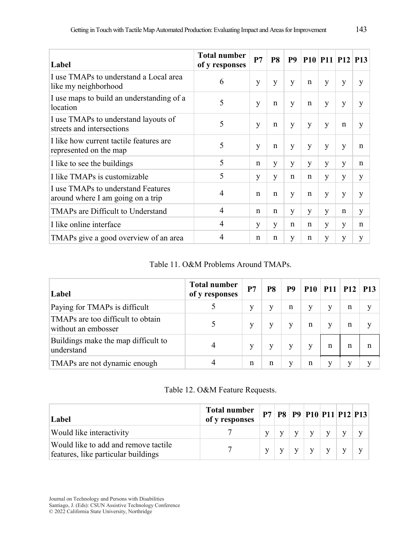| Label                                                                   | <b>Total number</b><br>of y responses | P7          | <b>P8</b>   | <b>P9</b>   |             |   | $P10$ $P11$ $P12$ $P13$ |             |
|-------------------------------------------------------------------------|---------------------------------------|-------------|-------------|-------------|-------------|---|-------------------------|-------------|
| I use TMAPs to understand a Local area<br>like my neighborhood          | 6                                     | y           | y           | y           | $\mathbf n$ | y | y                       | y           |
| I use maps to build an understanding of a<br>location                   | 5                                     | y           | n           | y           | n           | y | y                       | y           |
| I use TMAPs to understand layouts of<br>streets and intersections       | 5                                     | y           | n           | y           | y           | y | $\mathbf n$             | y           |
| I like how current tactile features are<br>represented on the map       | 5                                     | y           | n           | y           | y           | y | y                       | n           |
| I like to see the buildings                                             | 5                                     | n           | y           | y           | y           | y | y                       | $\mathbf n$ |
| I like TMAPs is customizable                                            | 5                                     | y           | y           | n           | $\mathbf n$ | y | y                       | y           |
| I use TMAPs to understand Features<br>around where I am going on a trip | $\overline{4}$                        | $\mathbf n$ | $\mathbf n$ | y           | $\mathbf n$ | y | y                       | y           |
| TMAPs are Difficult to Understand                                       | $\overline{4}$                        | n           | $\mathbf n$ | y           | y           | y | $\mathbf n$             | y           |
| I like online interface                                                 | 4                                     | y           | y           | $\mathbf n$ | n           | y | y                       | $\mathbf n$ |
| TMAPs give a good overview of an area                                   | 4                                     | n           | n           | y           | n           | y | y                       | y           |

Table 11. O&M Problems Around TMAPs.

| Label                                                    | <b>Total number</b><br>of y responses | P7 | P8 | P <sub>9</sub> | P10 | $P11$ $P12$ |   | <b>P13</b> |
|----------------------------------------------------------|---------------------------------------|----|----|----------------|-----|-------------|---|------------|
| Paying for TMAPs is difficult                            |                                       |    | v  | n              | v   | v           | n | V          |
| TMAPs are too difficult to obtain<br>without an embosser |                                       |    | y  | v              | n   | v           | n | v          |
| Buildings make the map difficult to<br>understand        |                                       |    |    |                |     | n           | n |            |
| TMAPs are not dynamic enough                             |                                       | n  | n  | V              | n   |             | V |            |

# Table 12. O&M Feature Requests.

| Label                                                                       | <b>Total number</b><br>of y responses | P7 |  | <b>P8</b>   <b>P9</b>   <b>P10</b>   <b>P11</b>   <b>P12</b>   <b>P13</b> |              |  |
|-----------------------------------------------------------------------------|---------------------------------------|----|--|---------------------------------------------------------------------------|--------------|--|
| Would like interactivity                                                    |                                       |    |  |                                                                           |              |  |
| Would like to add and remove tactile<br>features, like particular buildings |                                       |    |  |                                                                           | $\mathbf{V}$ |  |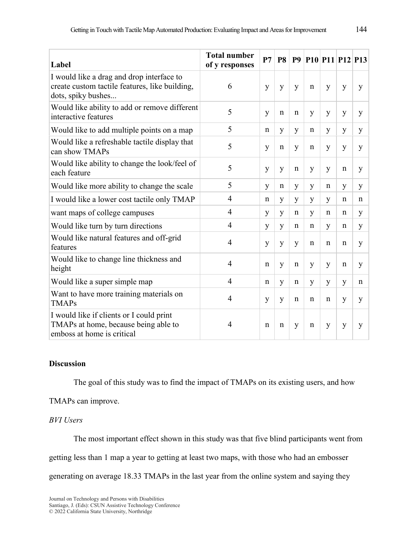| Label                                                                                                             | <b>Total number</b><br>of y responses | P7 | <b>P8</b>   |             | <b>P9 P10 P11 P12 P13</b> |   |   |   |
|-------------------------------------------------------------------------------------------------------------------|---------------------------------------|----|-------------|-------------|---------------------------|---|---|---|
| I would like a drag and drop interface to<br>create custom tactile features, like building,<br>dots, spiky bushes | 6                                     | y  | y           | y           | n                         | y | y | y |
| Would like ability to add or remove different<br>interactive features                                             | 5                                     | y  | $\mathbf n$ | $\mathbf n$ | y                         | y | y | y |
| Would like to add multiple points on a map                                                                        | 5                                     | n  | y           | y           | n                         | y | y | y |
| Would like a refreshable tactile display that<br>can show TMAPs                                                   | 5                                     | y  | n           | y           | n                         | y | y | y |
| Would like ability to change the look/feel of<br>each feature                                                     | 5                                     | y  | y           | $\mathbf n$ | y                         | y | n | y |
| Would like more ability to change the scale                                                                       | 5                                     | y  | $\mathbf n$ | y           | y                         | n | y | y |
| I would like a lower cost tactile only TMAP                                                                       | $\overline{4}$                        | n  | y           | y           | y                         | y | n | n |
| want maps of college campuses                                                                                     | $\overline{4}$                        | y  | y           | $\mathbf n$ | y                         | n | n | y |
| Would like turn by turn directions                                                                                | $\overline{4}$                        | y  | y           | n           | n                         | y | n | y |
| Would like natural features and off-grid<br>features                                                              | $\overline{4}$                        | y  | y           | y           | n                         | n | n | y |
| Would like to change line thickness and<br>height                                                                 | $\overline{4}$                        | n  | y           | $\mathbf n$ | y                         | y | n | y |
| Would like a super simple map                                                                                     | $\overline{4}$                        | n  | y           | $\mathbf n$ | y                         | y | y | n |
| Want to have more training materials on<br><b>TMAPs</b>                                                           | $\overline{4}$                        | y  | y           | $\mathbf n$ | n                         | n | y | y |
| I would like if clients or I could print<br>TMAPs at home, because being able to<br>emboss at home is critical    | $\overline{4}$                        | n  | n           | y           | n                         | y | y | y |

## **Discussion**

The goal of this study was to find the impact of TMAPs on its existing users, and how

### TMAPs can improve.

## *BVI Users*

The most important effect shown in this study was that five blind participants went from

getting less than 1 map a year to getting at least two maps, with those who had an embosser

generating on average 18.33 TMAPs in the last year from the online system and saying they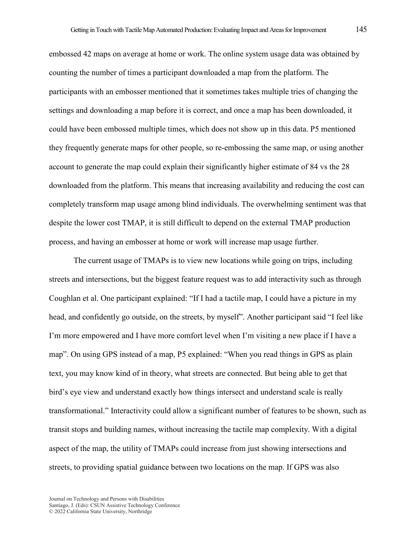embossed 42 maps on average at home or work. The online system usage data was obtained by counting the number of times a participant downloaded a map from the platform. The participants with an embosser mentioned that it sometimes takes multiple tries of changing the settings and downloading a map before it is correct, and once a map has been downloaded, it could have been embossed multiple times, which does not show up in this data. P5 mentioned they frequently generate maps for other people, so re-embossing the same map, or using another account to generate the map could explain their significantly higher estimate of 84 vs the 28 downloaded from the platform. This means that increasing availability and reducing the cost can completely transform map usage among blind individuals. The overwhelming sentiment was that despite the lower cost TMAP, it is still difficult to depend on the external TMAP production process, and having an embosser at home or work will increase map usage further.

The current usage of TMAPs is to view new locations while going on trips, including streets and intersections, but the biggest feature request was to add interactivity such as through Coughlan et al. One participant explained: "If I had a tactile map, I could have a picture in my head, and confidently go outside, on the streets, by myself". Another participant said "I feel like I'm more empowered and I have more comfort level when I'm visiting a new place if I have a map". On using GPS instead of a map, P5 explained: "When you read things in GPS as plain text, you may know kind of in theory, what streets are connected. But being able to get that bird's eye view and understand exactly how things intersect and understand scale is really transformational." Interactivity could allow a significant number of features to be shown, such as transit stops and building names, without increasing the tactile map complexity. With a digital aspect of the map, the utility of TMAPs could increase from just showing intersections and streets, to providing spatial guidance between two locations on the map. If GPS was also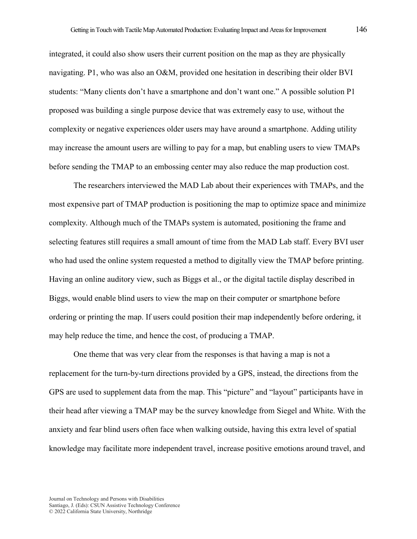integrated, it could also show users their current position on the map as they are physically navigating. P1, who was also an O&M, provided one hesitation in describing their older BVI students: "Many clients don't have a smartphone and don't want one." A possible solution P1 proposed was building a single purpose device that was extremely easy to use, without the complexity or negative experiences older users may have around a smartphone. Adding utility may increase the amount users are willing to pay for a map, but enabling users to view TMAPs before sending the TMAP to an embossing center may also reduce the map production cost.

The researchers interviewed the MAD Lab about their experiences with TMAPs, and the most expensive part of TMAP production is positioning the map to optimize space and minimize complexity. Although much of the TMAPs system is automated, positioning the frame and selecting features still requires a small amount of time from the MAD Lab staff. Every BVI user who had used the online system requested a method to digitally view the TMAP before printing. Having an online auditory view, such as Biggs et al., or the digital tactile display described in Biggs, would enable blind users to view the map on their computer or smartphone before ordering or printing the map. If users could position their map independently before ordering, it may help reduce the time, and hence the cost, of producing a TMAP.

One theme that was very clear from the responses is that having a map is not a replacement for the turn-by-turn directions provided by a GPS, instead, the directions from the GPS are used to supplement data from the map. This "picture" and "layout" participants have in their head after viewing a TMAP may be the survey knowledge from Siegel and White. With the anxiety and fear blind users often face when walking outside, having this extra level of spatial knowledge may facilitate more independent travel, increase positive emotions around travel, and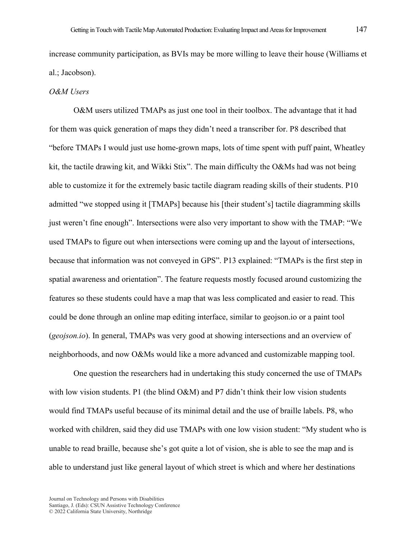increase community participation, as BVIs may be more willing to leave their house (Williams et al.; Jacobson).

### *O&M Users*

O&M users utilized TMAPs as just one tool in their toolbox. The advantage that it had for them was quick generation of maps they didn't need a transcriber for. P8 described that "before TMAPs I would just use home-grown maps, lots of time spent with puff paint, Wheatley kit, the tactile drawing kit, and Wikki Stix". The main difficulty the O&Ms had was not being able to customize it for the extremely basic tactile diagram reading skills of their students. P10 admitted "we stopped using it [TMAPs] because his [their student's] tactile diagramming skills just weren't fine enough". Intersections were also very important to show with the TMAP: "We used TMAPs to figure out when intersections were coming up and the layout of intersections, because that information was not conveyed in GPS". P13 explained: "TMAPs is the first step in spatial awareness and orientation". The feature requests mostly focused around customizing the features so these students could have a map that was less complicated and easier to read. This could be done through an online map editing interface, similar to geojson.io or a paint tool (*geojson.io*). In general, TMAPs was very good at showing intersections and an overview of neighborhoods, and now O&Ms would like a more advanced and customizable mapping tool.

One question the researchers had in undertaking this study concerned the use of TMAPs with low vision students. P1 (the blind  $O&M$ ) and P7 didn't think their low vision students would find TMAPs useful because of its minimal detail and the use of braille labels. P8, who worked with children, said they did use TMAPs with one low vision student: "My student who is unable to read braille, because she's got quite a lot of vision, she is able to see the map and is able to understand just like general layout of which street is which and where her destinations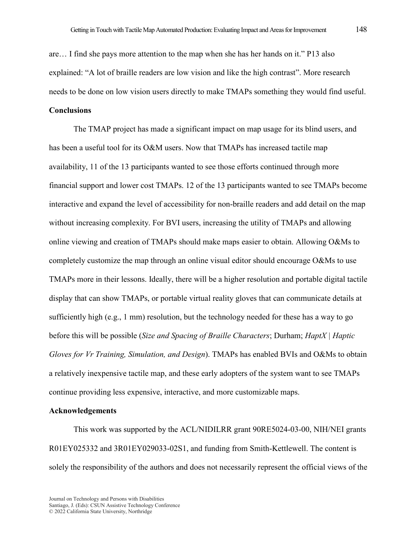are… I find she pays more attention to the map when she has her hands on it." P13 also explained: "A lot of braille readers are low vision and like the high contrast". More research needs to be done on low vision users directly to make TMAPs something they would find useful.

### **Conclusions**

The TMAP project has made a significant impact on map usage for its blind users, and has been a useful tool for its O&M users. Now that TMAPs has increased tactile map availability, 11 of the 13 participants wanted to see those efforts continued through more financial support and lower cost TMAPs. 12 of the 13 participants wanted to see TMAPs become interactive and expand the level of accessibility for non-braille readers and add detail on the map without increasing complexity. For BVI users, increasing the utility of TMAPs and allowing online viewing and creation of TMAPs should make maps easier to obtain. Allowing O&Ms to completely customize the map through an online visual editor should encourage O&Ms to use TMAPs more in their lessons. Ideally, there will be a higher resolution and portable digital tactile display that can show TMAPs, or portable virtual reality gloves that can communicate details at sufficiently high (e.g., 1 mm) resolution, but the technology needed for these has a way to go before this will be possible (*Size and Spacing of Braille Characters*; Durham; *HaptX | Haptic Gloves for Vr Training, Simulation, and Design*). TMAPs has enabled BVIs and O&Ms to obtain a relatively inexpensive tactile map, and these early adopters of the system want to see TMAPs continue providing less expensive, interactive, and more customizable maps.

### **Acknowledgements**

This work was supported by the ACL/NIDILRR grant 90RE5024-03-00, NIH/NEI grants R01EY025332 and 3R01EY029033-02S1, and funding from Smith-Kettlewell. The content is solely the responsibility of the authors and does not necessarily represent the official views of the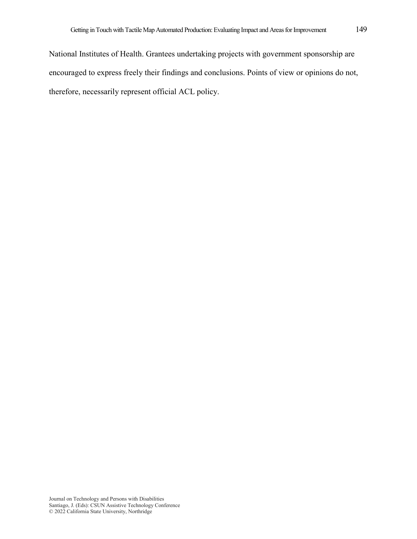National Institutes of Health. Grantees undertaking projects with government sponsorship are encouraged to express freely their findings and conclusions. Points of view or opinions do not, therefore, necessarily represent official ACL policy.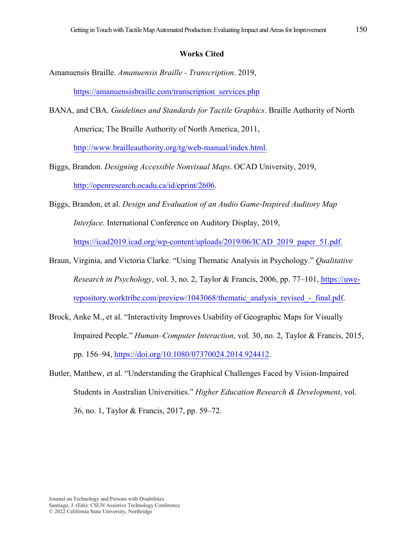### **Works Cited**

Amanuensis Braille. *Amanuensis Braille - Transcription*. 2019,

[https://amanuensisbraille.com/transcription\\_services.php](https://amanuensisbraille.com/transcription_services.php)

- BANA, and CBA. *Guidelines and Standards for Tactile Graphics*. Braille Authority of North America; The Braille Authority of North America, 2011, [http://www.brailleauthority.org/tg/web-manual/index.html.](http://www.brailleauthority.org/tg/web-manual/index.html)
- Biggs, Brandon. *Designing Accessible Nonvisual Maps*. OCAD University, 2019, [http://openresearch.ocadu.ca/id/eprint/2606.](http://openresearch.ocadu.ca/id/eprint/2606)
- Biggs, Brandon, et al. *Design and Evaluation of an Audio Game-Inspired Auditory Map Interface*. International Conference on Auditory Display, 2019, [https://icad2019.icad.org/wp-content/uploads/2019/06/ICAD\\_2019\\_paper\\_51.pdf.](https://icad2019.icad.org/wp-content/uploads/2019/06/ICAD_2019_paper_51.pdf)
- Braun, Virginia, and Victoria Clarke. "Using Thematic Analysis in Psychology." *Qualitative Research in Psychology*, vol. 3, no. 2, Taylor & Francis, 2006, pp. 77–101, [https://uwe](https://uwe-repository.worktribe.com/preview/1043068/thematic_analysis_revised_-_final.pdf)repository.worktribe.com/preview/1043068/thematic\_analysis\_revised - final.pdf.
- Brock, Anke M., et al. "Interactivity Improves Usability of Geographic Maps for Visually Impaired People." *Human–Computer Interaction*, vol. 30, no. 2, Taylor & Francis, 2015, pp. 156–94, [https://doi.org/10.1080/07370024.2014.924412.](https://doi.org/10.1080/07370024.2014.924412)
- Butler, Matthew, et al. "Understanding the Graphical Challenges Faced by Vision-Impaired Students in Australian Universities." *Higher Education Research & Development*, vol. 36, no. 1, Taylor & Francis, 2017, pp. 59–72.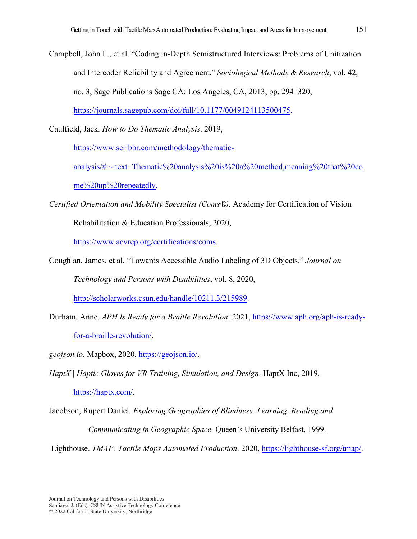Campbell, John L., et al. "Coding in-Depth Semistructured Interviews: Problems of Unitization and Intercoder Reliability and Agreement." *Sociological Methods & Research*, vol. 42, no. 3, Sage Publications Sage CA: Los Angeles, CA, 2013, pp. 294–320,

[https://journals.sagepub.com/doi/full/10.1177/0049124113500475.](https://journals.sagepub.com/doi/full/10.1177/0049124113500475)

Caulfield, Jack. *How to Do Thematic Analysis*. 2019,

[https://www.scribbr.com/methodology/thematic-](https://www.scribbr.com/methodology/thematic-analysis/#:%7E:text=Thematic%20analysis%20is%20a%20method,meaning%20that%20come%20up%20repeatedly)

analysis/#:~:text=Thematic%20analysis%20is%20a%20method,meaning%20that%20co me%20up%20repeatedly.

*Certified Orientation and Mobility Specialist (Coms®)*. Academy for Certification of Vision

Rehabilitation & Education Professionals, 2020,

[https://www.acvrep.org/certifications/coms.](https://www.acvrep.org/certifications/coms)

Coughlan, James, et al. "Towards Accessible Audio Labeling of 3D Objects." *Journal on* 

*Technology and Persons with Disabilities*, vol. 8, 2020,

[http://scholarworks.csun.edu/handle/10211.3/215989.](http://scholarworks.csun.edu/handle/10211.3/215989)

Durham, Anne. *APH Is Ready for a Braille Revolution*. 2021, [https://www.aph.org/aph-is-ready](https://www.aph.org/aph-is-ready-for-a-braille-revolution/)for-a-braille-revolution/.

*geojson.io*. Mapbox, 2020, [https://geojson.io/.](https://geojson.io/)

*HaptX | Haptic Gloves for VR Training, Simulation, and Design*. HaptX Inc, 2019,

[https://haptx.com/.](https://haptx.com/)

Jacobson, Rupert Daniel. *Exploring Geographies of Blindness: Learning, Reading and Communicating in Geographic Space.* Queen's University Belfast, 1999.

Lighthouse. *TMAP: Tactile Maps Automated Production*. 2020[, https://lighthouse-sf.org/tmap/](https://lighthouse-sf.org/tmap/).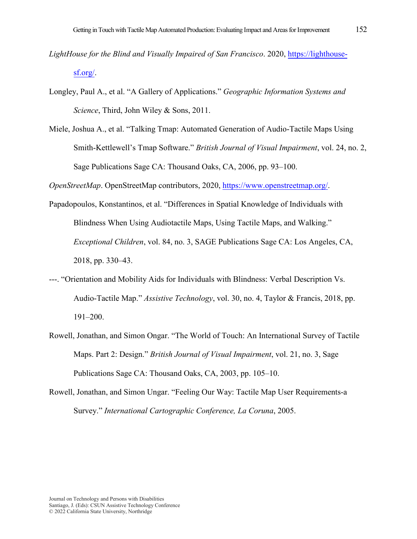- *LightHouse for the Blind and Visually Impaired of San Francisco*. 2020, [https://lighthouse](https://lighthouse-sf.org/)sf.org/.
- Longley, Paul A., et al. "A Gallery of Applications." *Geographic Information Systems and Science*, Third, John Wiley & Sons, 2011.
- Miele, Joshua A., et al. "Talking Tmap: Automated Generation of Audio-Tactile Maps Using Smith-Kettlewell's Tmap Software." *British Journal of Visual Impairment*, vol. 24, no. 2, Sage Publications Sage CA: Thousand Oaks, CA, 2006, pp. 93–100.

*OpenStreetMap*. OpenStreetMap contributors, 2020, [https://www.openstreetmap.org/.](https://www.openstreetmap.org/)

- Papadopoulos, Konstantinos, et al. "Differences in Spatial Knowledge of Individuals with Blindness When Using Audiotactile Maps, Using Tactile Maps, and Walking." *Exceptional Children*, vol. 84, no. 3, SAGE Publications Sage CA: Los Angeles, CA, 2018, pp. 330–43.
- ---. "Orientation and Mobility Aids for Individuals with Blindness: Verbal Description Vs. Audio-Tactile Map." *Assistive Technology*, vol. 30, no. 4, Taylor & Francis, 2018, pp. 191–200.
- Rowell, Jonathan, and Simon Ongar. "The World of Touch: An International Survey of Tactile Maps. Part 2: Design." *British Journal of Visual Impairment*, vol. 21, no. 3, Sage Publications Sage CA: Thousand Oaks, CA, 2003, pp. 105–10.
- Rowell, Jonathan, and Simon Ungar. "Feeling Our Way: Tactile Map User Requirements-a Survey." *International Cartographic Conference, La Coruna*, 2005.